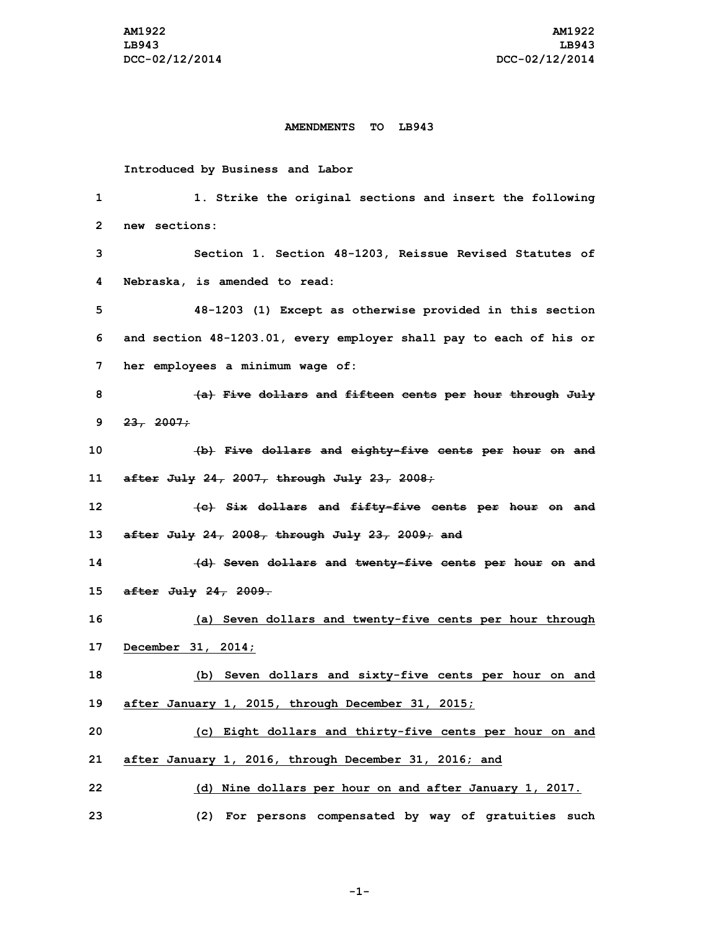## **AMENDMENTS TO LB943**

## **Introduced by Business and Labor**

| 1       | 1. Strike the original sections and insert the following           |
|---------|--------------------------------------------------------------------|
| 2       | new sections:                                                      |
| 3       | Section 1. Section 48-1203, Reissue Revised Statutes of            |
| 4       | Nebraska, is amended to read:                                      |
| 5       | 48-1203 (1) Except as otherwise provided in this section           |
| 6       | and section 48-1203.01, every employer shall pay to each of his or |
| 7       | her employees a minimum wage of:                                   |
| 8       | (a) Five dollars and fifteen cents per hour through July           |
| 9       | 23, 2007;                                                          |
| 10      | (b) Five dollars and eighty-five cents per hour on and             |
| 11      | after July $24$ , $2007$ , through July $23$ , $2008$ ;            |
| $12 \,$ | (e) Six dollars and fifty-five cents per hour on and               |
| 13      | after July $24$ , $2008$ , through July $23$ , $2009$ ; and        |
| 14      | (d) Seven dollars and twenty-five cents per hour on and            |
| 15      | after July 24, 2009.                                               |
| 16      | (a) Seven dollars and twenty-five cents per hour through           |
| 17      | December 31, 2014;                                                 |
| 18      | (b) Seven dollars and sixty-five cents per hour on and             |
| 19      | after January 1, 2015, through December 31, 2015;                  |
| 20      | (c) Eight dollars and thirty-five cents per hour on and            |
| 21      | after January 1, 2016, through December 31, 2016; and              |
| 22      | (d) Nine dollars per hour on and after January 1, 2017.            |
| 23      | (2) For persons compensated by way of gratuities such              |

**-1-**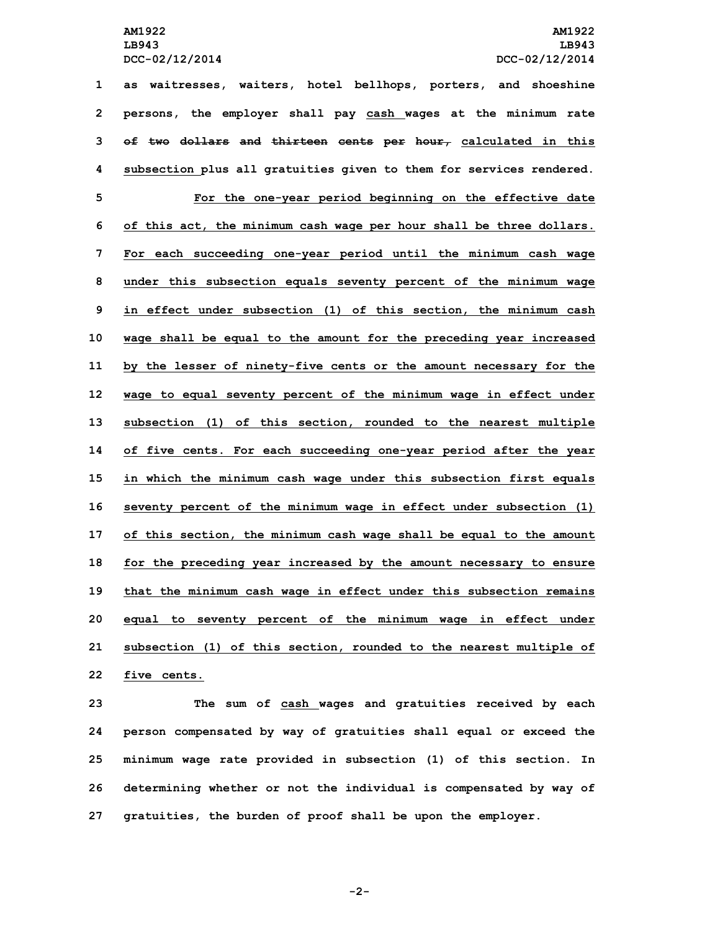**LB943 LB943**

 **as waitresses, waiters, hotel bellhops, porters, and shoeshine persons, the employer shall pay cash wages at the minimum rate of two dollars and thirteen cents per hour, calculated in this subsection plus all gratuities given to them for services rendered. For the one-year period beginning on the effective date of this act, the minimum cash wage per hour shall be three dollars. For each succeeding one-year period until the minimum cash wage under this subsection equals seventy percent of the minimum wage in effect under subsection (1) of this section, the minimum cash wage shall be equal to the amount for the preceding year increased by the lesser of ninety-five cents or the amount necessary for the wage to equal seventy percent of the minimum wage in effect under subsection (1) of this section, rounded to the nearest multiple of five cents. For each succeeding one-year period after the year in which the minimum cash wage under this subsection first equals seventy percent of the minimum wage in effect under subsection (1) of this section, the minimum cash wage shall be equal to the amount for the preceding year increased by the amount necessary to ensure that the minimum cash wage in effect under this subsection remains equal to seventy percent of the minimum wage in effect under subsection (1) of this section, rounded to the nearest multiple of five cents.**

 **The sum of cash wages and gratuities received by each person compensated by way of gratuities shall equal or exceed the minimum wage rate provided in subsection (1) of this section. In determining whether or not the individual is compensated by way of gratuities, the burden of proof shall be upon the employer.**

**-2-**